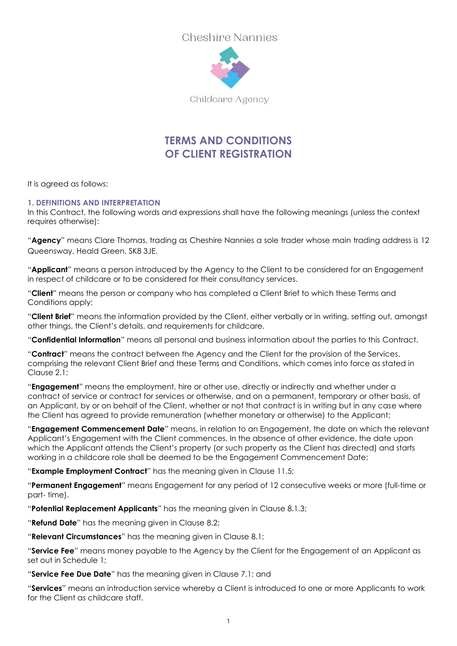

Childcare Agency

# **TERMS AND CONDITIONS OF CLIENT REGISTRATION**

It is agreed as follows:

#### **1. DEFINITIONS AND INTERPRETATION**

In this Contract, the following words and expressions shall have the following meanings (unless the context requires otherwise):

"**Agency**" means Clare Thomas, trading as Cheshire Nannies a sole trader whose main trading address is 12 Queensway, Heald Green, SK8 3JE.

"**Applicant**" means a person introduced by the Agency to the Client to be considered for an Engagement in respect of childcare or to be considered for their consultancy services.

"**Client**" means the person or company who has completed a Client Brief to which these Terms and Conditions apply;

"**Client Brief**" means the information provided by the Client, either verbally or in writing, setting out, amongst other things, the Client's details, and requirements for childcare.

"**Confidential Information**" means all personal and business information about the parties to this Contract.

"**Contract**" means the contract between the Agency and the Client for the provision of the Services, comprising the relevant Client Brief and these Terms and Conditions, which comes into force as stated in Clause 2.1;

"**Engagement**" means the employment, hire or other use, directly or indirectly and whether under a contract of service or contract for services or otherwise, and on a permanent, temporary or other basis, of an Applicant, by or on behalf of the Client, whether or not that contract is in writing but in any case where the Client has agreed to provide remuneration (whether monetary or otherwise) to the Applicant;

"**Engagement Commencement Date**" means, in relation to an Engagement, the date on which the relevant Applicant's Engagement with the Client commences. In the absence of other evidence, the date upon which the Applicant attends the Client's property (or such property as the Client has directed) and starts working in a childcare role shall be deemed to be the Engagement Commencement Date;

"**Example Employment Contract**" has the meaning given in Clause [11.5;](#page-9-0)

"**Permanent Engagement**" means Engagement for any period of 12 consecutive weeks or more (full-time or part- time).

"**Potential Replacement Applicants**" has the meaning given in Clause[8.1.3;](#page-6-0)

"**Refund Date**" has the meaning given in Clause [8.2;](#page-6-1)

"**Relevant Circumstances**" has the meaning given in Clause [8.1;](#page-5-0)

"**Service Fee**" means money payable to the Agency by the Client for the Engagement of an Applicant as set out in Schedule 1;

"**Service Fee Due Date**" has the meaning given in Clause[7.1;](#page-5-1) and

"**Services**" means an introduction service whereby a Client is introduced to one or more Applicants to work for the Client as childcare staff.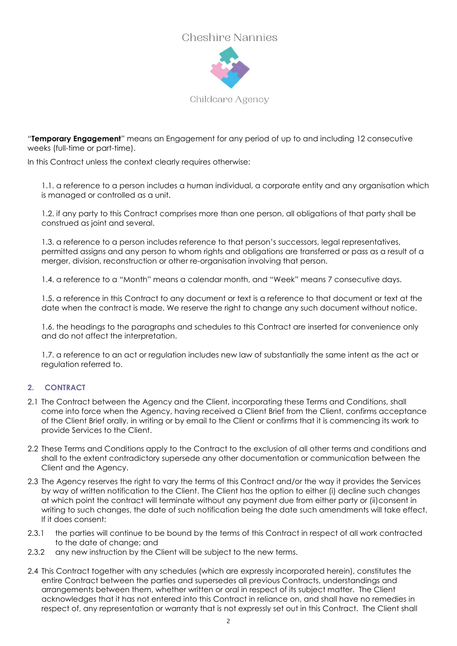

Childcare Agency

"**Temporary Engagement**" means an Engagement for any period of up to and including 12 consecutive weeks (full-time or part-time).

In this Contract unless the context clearly requires otherwise:

1.1. a reference to a person includes a human individual, a corporate entity and any organisation which is managed or controlled as a unit.

1.2. if any party to this Contract comprises more than one person, all obligations of that party shall be construed as joint and several.

1.3. a reference to a person includes reference to that person's successors, legal representatives, permitted assigns and any person to whom rights and obligations are transferred or pass as a result of a merger, division, reconstruction or other re-organisation involving that person.

1.4. a reference to a "Month" means a calendar month, and "Week" means 7 consecutive days.

1.5. a reference in this Contract to any document or text is a reference to that document or text at the date when the contract is made. We reserve the right to change any such document without notice.

1.6. the headings to the paragraphs and schedules to this Contract are inserted for convenience only and do not affect the interpretation.

1.7. a reference to an act or regulation includes new law of substantially the same intent as the act or regulation referred to.

#### **2. CONTRACT**

- 2.1 The Contract between the Agency and the Client, incorporating these Terms and Conditions, shall come into force when the Agency, having received a Client Brief from the Client, confirms acceptance of the Client Brief orally, in writing or by email to the Client or confirms that it is commencing its work to provide Services to the Client.
- 2.2 These Terms and Conditions apply to the Contract to the exclusion of all other terms and conditions and shall to the extent contradictory supersede any other documentation or communication between the Client and the Agency.
- 2.3 The Agency reserves the right to vary the terms of this Contract and/or the way it provides the Services by way of written notification to the Client. The Client has the option to either (i) decline such changes at which point the contract will terminate without any payment due from either party or (ii)consent in writing to such changes, the date of such notification being the date such amendments will take effect. If it does consent:
- 2.3.1 the parties will continue to be bound by the terms of this Contract in respect of all work contracted to the date of change; and
- 2.3.2 any new instruction by the Client will be subject to the new terms.
- 2.4 This Contract together with any schedules (which are expressly incorporated herein), constitutes the entire Contract between the parties and supersedes all previous Contracts, understandings and arrangements between them, whether written or oral in respect of its subject matter. The Client acknowledges that it has not entered into this Contract in reliance on, and shall have no remedies in respect of, any representation or warranty that is not expressly set out in this Contract. The Client shall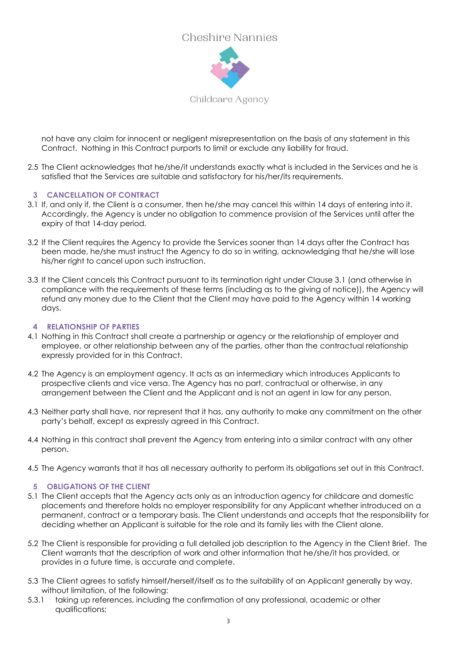

not have any claim for innocent or negligent misrepresentation on the basis of any statement in this Contract. Nothing in this Contract purports to limit or exclude any liability for fraud.

2.5 The Client acknowledges that he/she/it understands exactly what is included in the Services and he is satisfied that the Services are suitable and satisfactory for his/her/its requirements.

#### **3 CANCELLATION OF CONTRACT**

- 3.1 If, and only if, the Client is a consumer, then he/she may cancel this within 14 days of entering into it. Accordingly, the Agency is under no obligation to commence provision of the Services until after the expiry of that 14-day period.
- 3.2 If the Client requires the Agency to provide the Services sooner than 14 days after the Contract has been made, he/she must instruct the Agency to do so in writing, acknowledging that he/she will lose his/her right to cancel upon such instruction.
- 3.3 If the Client cancels this Contract pursuant to its termination right under Clause 3.1 (and otherwise in compliance with the requirements of these terms (including as to the giving of notice)), the Agency will refund any money due to the Client that the Client may have paid to the Agency within 14 working days.

#### **4 RELATIONSHIP OF PARTIES**

- 4.1 Nothing in this Contract shall create a partnership or agency or the relationship of employer and employee, or other relationship between any of the parties, other than the contractual relationship expressly provided for in this Contract.
- 4.2 The Agency is an employment agency. It acts as an intermediary which introduces Applicants to prospective clients and vice versa. The Agency has no part, contractual or otherwise, in any arrangement between the Client and the Applicant and is not an agent in law for any person.
- 4.3 Neither party shall have, nor represent that it has, any authority to make any commitment on the other party's behalf, except as expressly agreed in this Contract.
- 4.4 Nothing in this contract shall prevent the Agency from entering into a similar contract with any other person.
- 4.5 The Agency warrants that it has all necessary authority to perform its obligations set out in this Contract.

#### **5 OBLIGATIONS OF THE CLIENT**

- 5.1 The Client accepts that the Agency acts only as an introduction agency for childcare and domestic placements and therefore holds no employer responsibility for any Applicant whether introduced on a permanent, contract or a temporary basis. The Client understands and accepts that the responsibility for deciding whether an Applicant is suitable for the role and its family lies with the Client alone.
- 5.2 The Client is responsible for providing a full detailed job description to the Agency in the Client Brief. The Client warrants that the description of work and other information that he/she/it has provided, or provides in a future time, is accurate and complete.
- 5.3 The Client agrees to satisfy himself/herself/itself as to the suitability of an Applicant generally by way, without limitation, of the following:
- 5.3.1 taking up references, including the confirmation of any professional, academic or other qualifications;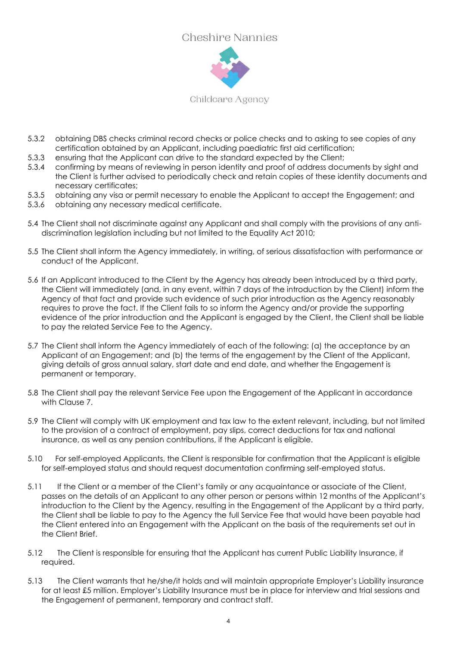

Childcare Agency

- 5.3.2 obtaining DBS checks criminal record checks or police checks and to asking to see copies of any certification obtained by an Applicant, including paediatric first aid certification;
- 5.3.3 ensuring that the Applicant can drive to the standard expected by the Client;
- 5.3.4 confirming by means of reviewing in person identity and proof of address documents by sight and the Client is further advised to periodically check and retain copies of these identity documents and necessary certificates;
- 5.3.5 obtaining any visa or permit necessary to enable the Applicant to accept the Engagement; and
- 5.3.6 obtaining any necessary medical certificate.
- 5.4 The Client shall not discriminate against any Applicant and shall comply with the provisions of any antidiscrimination legislation including but not limited to the Equality Act 2010;
- 5.5 The Client shall inform the Agency immediately, in writing, of serious dissatisfaction with performance or conduct of the Applicant.
- 5.6 If an Applicant introduced to the Client by the Agency has already been introduced by a third party, the Client will immediately (and, in any event, within 7 days of the introduction by the Client) inform the Agency of that fact and provide such evidence of such prior introduction as the Agency reasonably requires to prove the fact. If the Client fails to so inform the Agency and/or provide the supporting evidence of the prior introduction and the Applicant is engaged by the Client, the Client shall be liable to pay the related Service Fee to the Agency.
- 5.7 The Client shall inform the Agency immediately of each of the following: (a) the acceptance by an Applicant of an Engagement; and (b) the terms of the engagement by the Client of the Applicant, giving details of gross annual salary, start date and end date, and whether the Engagement is permanent or temporary.
- 5.8 The Client shall pay the relevant Service Fee upon the Engagement of the Applicant in accordance with Clause [7.](#page-5-2)
- 5.9 The Client will comply with UK employment and tax law to the extent relevant, including, but not limited to the provision of a contract of employment, pay slips, correct deductions for tax and national insurance, as well as any pension contributions, if the Applicant is eligible.
- 5.10 For self-employed Applicants, the Client is responsible for confirmation that the Applicant is eligible for self-employed status and should request documentation confirming self-employed status.
- 5.11 If the Client or a member of the Client's family or any acquaintance or associate of the Client, passes on the details of an Applicant to any other person or persons within 12 months of the Applicant's introduction to the Client by the Agency, resulting in the Engagement of the Applicant by a third party, the Client shall be liable to pay to the Agency the full Service Fee that would have been payable had the Client entered into an Engagement with the Applicant on the basis of the requirements set out in the Client Brief.
- 5.12 The Client is responsible for ensuring that the Applicant has current Public Liability Insurance, if required.
- 5.13 The Client warrants that he/she/it holds and will maintain appropriate Employer's Liability insurance for at least £5 million. Employer's Liability Insurance must be in place for interview and trial sessions and the Engagement of permanent, temporary and contract staff.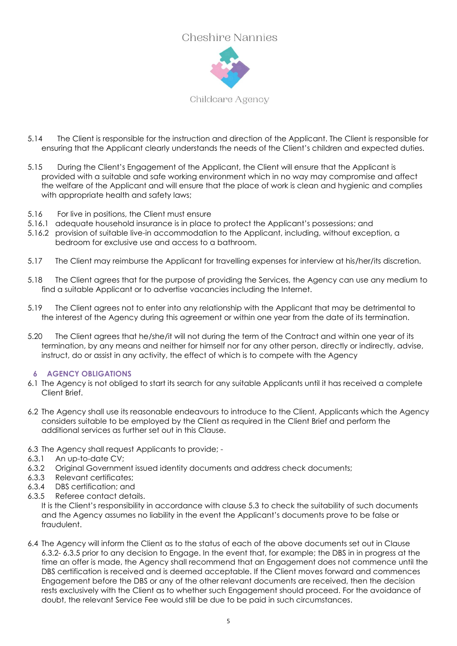

Childcare Agency

- 5.14 The Client is responsible for the instruction and direction of the Applicant. The Client is responsible for ensuring that the Applicant clearly understands the needs of the Client's children and expected duties.
- 5.15 During the Client's Engagement of the Applicant, the Client will ensure that the Applicant is provided with a suitable and safe working environment which in no way may compromise and affect the welfare of the Applicant and will ensure that the place of work is clean and hygienic and complies with appropriate health and safety laws;
- 5.16 For live in positions, the Client must ensure
- 5.16.1 adequate household insurance is in place to protect the Applicant's possessions; and
- 5.16.2 provision of suitable live-in accommodation to the Applicant, including, without exception, a bedroom for exclusive use and access to a bathroom.
- 5.17 The Client may reimburse the Applicant for travelling expenses for interview at his/her/its discretion.
- 5.18 The Client agrees that for the purpose of providing the Services, the Agency can use any medium to find a suitable Applicant or to advertise vacancies including the Internet.
- 5.19 The Client agrees not to enter into any relationship with the Applicant that may be detrimental to the interest of the Agency during this agreement or within one year from the date of its termination.
- 5.20 The Client agrees that he/she/it will not during the term of the Contract and within one year of its termination, by any means and neither for himself nor for any other person, directly or indirectly, advise, instruct, do or assist in any activity, the effect of which is to compete with the Agency

#### **6 AGENCY OBLIGATIONS**

- 6.1 The Agency is not obliged to start its search for any suitable Applicants until it has received a complete Client Brief.
- 6.2 The Agency shall use its reasonable endeavours to introduce to the Client, Applicants which the Agency considers suitable to be employed by the Client as required in the Client Brief and perform the additional services as further set out in this Clause.
- 6.3 The Agency shall request Applicants to provide; -
- 6.3.1 An up-to-date CV;
- <span id="page-4-0"></span>6.3.2 Original Government issued identity documents and address check documents;
- 6.3.3 Relevant certificates;
- 6.3.4 DBS certification; and
- <span id="page-4-1"></span>6.3.5 Referee contact details.

It is the Client's responsibility in accordance with clause 5.3 to check the suitability of such documents and the Agency assumes no liability in the event the Applicant's documents prove to be false or fraudulent.

6.4 The Agency will inform the Client as to the status of each of the above documents set out in Clause [6.3.2-](#page-4-0) [6.3.5](#page-4-1) prior to any decision to Engage. In the event that, for example; the DBS in in progress at the time an offer is made, the Agency shall recommend that an Engagement does not commence until the DBS certification is received and is deemed acceptable. If the Client moves forward and commences Engagement before the DBS or any of the other relevant documents are received, then the decision rests exclusively with the Client as to whether such Engagement should proceed. For the avoidance of doubt, the relevant Service Fee would still be due to be paid in such circumstances.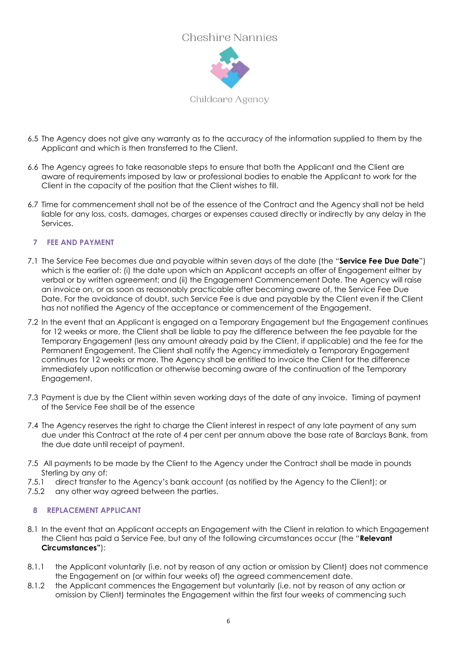

- 6.5 The Agency does not give any warranty as to the accuracy of the information supplied to them by the Applicant and which is then transferred to the Client.
- 6.6 The Agency agrees to take reasonable steps to ensure that both the Applicant and the Client are aware of requirements imposed by law or professional bodies to enable the Applicant to work for the Client in the capacity of the position that the Client wishes to fill.
- 6.7 Time for commencement shall not be of the essence of the Contract and the Agency shall not be held liable for any loss, costs, damages, charges or expenses caused directly or indirectly by any delay in the Services.

#### <span id="page-5-2"></span>**7 FEE AND PAYMENT**

- <span id="page-5-1"></span>7.1 The Service Fee becomes due and payable within seven days of the date (the "**Service Fee Due Date**") which is the earlier of: (i) the date upon which an Applicant accepts an offer of Engagement either by verbal or by written agreement; and (ii) the Engagement Commencement Date. The Agency will raise an invoice on, or as soon as reasonably practicable after becoming aware of, the Service Fee Due Date. For the avoidance of doubt, such Service Fee is due and payable by the Client even if the Client has not notified the Agency of the acceptance or commencement of the Engagement.
- 7.2 In the event that an Applicant is engaged on a Temporary Engagement but the Engagement continues for 12 weeks or more, the Client shall be liable to pay the difference between the fee payable for the Temporary Engagement (less any amount already paid by the Client, if applicable) and the fee for the Permanent Engagement. The Client shall notify the Agency immediately a Temporary Engagement continues for 12 weeks or more. The Agency shall be entitled to invoice the Client for the difference immediately upon notification or otherwise becoming aware of the continuation of the Temporary Engagement.
- 7.3 Payment is due by the Client within seven working days of the date of any invoice. Timing of payment of the Service Fee shall be of the essence
- 7.4 The Agency reserves the right to charge the Client interest in respect of any late payment of any sum due under this Contract at the rate of 4 per cent per annum above the base rate of Barclays Bank, from the due date until receipt of payment.
- 7.5 All payments to be made by the Client to the Agency under the Contract shall be made in pounds Sterling by any of:
- 7.5.1 direct transfer to the Agency's bank account (as notified by the Agency to the Client); or
- 7.5.2 any other way agreed between the parties.

#### <span id="page-5-3"></span>**8 REPLACEMENT APPLICANT**

- <span id="page-5-0"></span>8.1 In the event that an Applicant accepts an Engagement with the Client in relation to which Engagement the Client has paid a Service Fee, but any of the following circumstances occur (the "**Relevant Circumstances"**):
- 8.1.1 the Applicant voluntarily (i.e. not by reason of any action or omission by Client) does not commence the Engagement on (or within four weeks of) the agreed commencement date.
- 8.1.2 the Applicant commences the Engagement but voluntarily (i.e. not by reason of any action or omission by Client) terminates the Engagement within the first four weeks of commencing such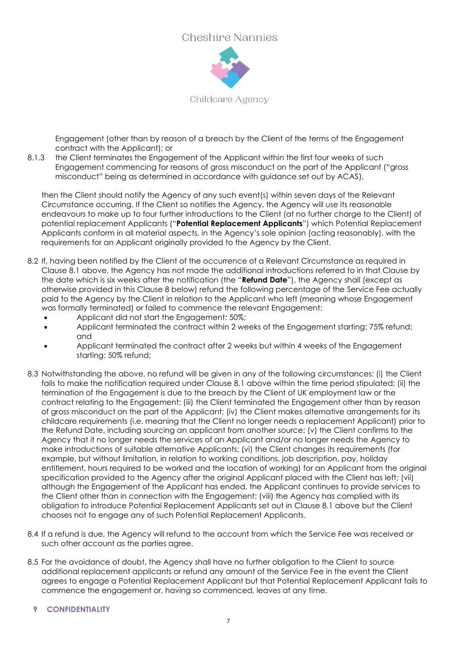

Childcare Agency

Engagement (other than by reason of a breach by the Client of the terms of the Engagement contract with the Applicant); or

<span id="page-6-0"></span>8.1.3 the Client terminates the Engagement of the Applicant within the first four weeks of such Engagement commencing for reasons of gross misconduct on the part of the Applicant ("gross misconduct" being as determined in accordance with guidance set out by ACAS),

then the Client should notify the Agency of any such event(s) within seven days of the Relevant Circumstance occurring. If the Client so notifies the Agency, the Agency will use its reasonable endeavours to make up to four further introductions to the Client (at no further charge to the Client) of potential replacement Applicants ("**Potential Replacement Applicants**") which Potential Replacement Applicants conform in all material aspects, in the Agency's sole opinion (acting reasonably), with the requirements for an Applicant originally provided to the Agency by the Client.

- <span id="page-6-1"></span>8.2 If, having been notified by the Client of the occurrence of a Relevant Circumstance as required in Clause [8.1](#page-5-0) above, the Agency has not made the additional introductions referred to in that Clause by the date which is six weeks after the notification (the "**Refund Date**"), the Agency shall (except as otherwise provided in this Clause [8](#page-5-3) below) refund the following percentage of the Service Fee actually paid to the Agency by the Client in relation to the Applicant who left (meaning whose Engagement was formally terminated) or failed to commence the relevant Engagement:
	- Applicant did not start the Engagement: 50%;
	- Applicant terminated the contract within 2 weeks of the Engagement starting: 75% refund; and
	- Applicant terminated the contract after 2 weeks but within 4 weeks of the Engagement starting: 50% refund;
- 8.3 Notwithstanding the above, no refund will be given in any of the following circumstances: (i) the Client fails to make the notification required under Clause [8.1](#page-5-0) above within the time period stipulated; (ii) the termination of the Engagement is due to the breach by the Client of UK employment law or the contract relating to the Engagement; (iii) the Client terminated the Engagement other than by reason of gross misconduct on the part of the Applicant; (iv) the Client makes alternative arrangements for its childcare requirements (i.e. meaning that the Client no longer needs a replacement Applicant) prior to the Refund Date, including sourcing an applicant from another source; (v) the Client confirms to the Agency that it no longer needs the services of an Applicant and/or no longer needs the Agency to make introductions of suitable alternative Applicants; (vi) the Client changes its requirements (for example, but without limitation, in relation to working conditions, job description, pay, holiday entitlement, hours required to be worked and the location of working) for an Applicant from the original specification provided to the Agency after the original Applicant placed with the Client has left; (vii) although the Engagement of the Applicant has ended, the Applicant continues to provide services to the Client other than in connection with the Engagement; (viii) the Agency has complied with its obligation to introduce Potential Replacement Applicants set out in Clause [8.1](#page-5-0) above but the Client chooses not to engage any of such Potential Replacement Applicants.
- 8.4 If a refund is due, the Agency will refund to the account from which the Service Fee was received or such other account as the parties agree.
- <span id="page-6-2"></span>8.5 For the avoidance of doubt, the Agency shall have no further obligation to the Client to source additional replacement applicants or refund any amount of the Service Fee in the event the Client agrees to engage a Potential Replacement Applicant but that Potential Replacement Applicant fails to commence the engagement or, having so commenced, leaves at any time.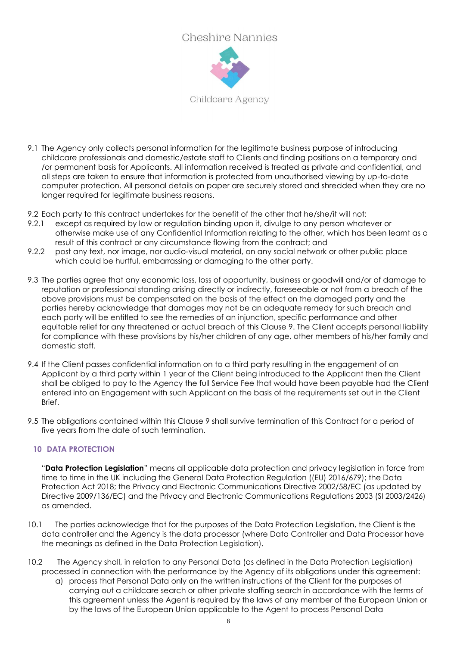

Childcare Agency

- 9.1 The Agency only collects personal information for the legitimate business purpose of introducing childcare professionals and domestic/estate staff to Clients and finding positions on a temporary and /or permanent basis for Applicants. All information received is treated as private and confidential, and all steps are taken to ensure that information is protected from unauthorised viewing by up-to-date computer protection. All personal details on paper are securely stored and shredded when they are no longer required for legitimate business reasons.
- 9.2 Each party to this contract undertakes for the benefit of the other that he/she/it will not:
- 9.2.1 except as required by law or regulation binding upon it, divulge to any person whatever or otherwise make use of any Confidential Information relating to the other, which has been learnt as a result of this contract or any circumstance flowing from the contract; and
- 9.2.2 post any text, nor image, nor audio-visual material, on any social network or other public place which could be hurtful, embarrassing or damaging to the other party.
- 9.3 The parties agree that any economic loss, loss of opportunity, business or goodwill and/or of damage to reputation or professional standing arising directly or indirectly, foreseeable or not from a breach of the above provisions must be compensated on the basis of the effect on the damaged party and the parties hereby acknowledge that damages may not be an adequate remedy for such breach and each party will be entitled to see the remedies of an injunction, specific performance and other equitable relief for any threatened or actual breach of this Clause [9.](#page-6-2) The Client accepts personal liability for compliance with these provisions by his/her children of any age, other members of his/her family and domestic staff.
- 9.4 If the Client passes confidential information on to a third party resulting in the engagement of an Applicant by a third party within 1 year of the Client being introduced to the Applicant then the Client shall be obliged to pay to the Agency the full Service Fee that would have been payable had the Client entered into an Engagement with such Applicant on the basis of the requirements set out in the Client Brief.
- 9.5 The obligations contained within this Clause [9](#page-6-2) shall survive termination of this Contract for a period of five years from the date of such termination.

#### **10 DATA PROTECTION**

"**Data Protection Legislation**" means all applicable data protection and privacy legislation in force from time to time in the UK including the General Data Protection Regulation ((EU) 2016/679); the Data Protection Act 2018; the Privacy and Electronic Communications Directive 2002/58/EC (as updated by Directive 2009/136/EC) and the Privacy and Electronic Communications Regulations 2003 (SI 2003/2426) as amended.

- 10.1 The parties acknowledge that for the purposes of the Data Protection Legislation, the Client is the data controller and the Agency is the data processor (where Data Controller and Data Processor have the meanings as defined in the Data Protection Legislation).
- 10.2 The Agency shall, in relation to any Personal Data (as defined in the Data Protection Legislation) processed in connection with the performance by the Agency of its obligations under this agreement:
	- a) process that Personal Data only on the written instructions of the Client for the purposes of carrying out a childcare search or other private staffing search in accordance with the terms of this agreement unless the Agent is required by the laws of any member of the European Union or by the laws of the European Union applicable to the Agent to process Personal Data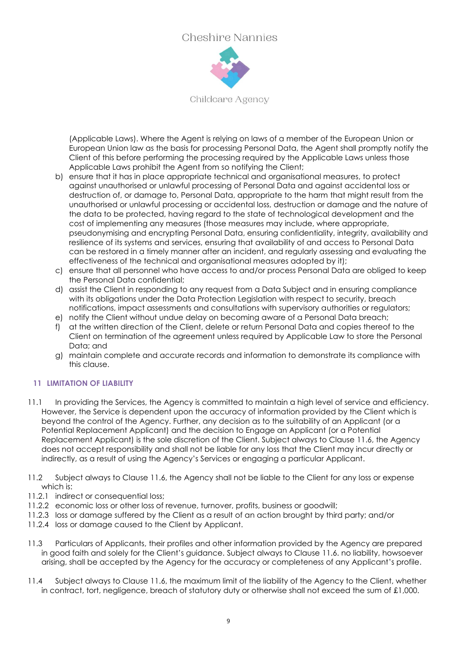

Childcare Agency

(Applicable Laws). Where the Agent is relying on laws of a member of the European Union or European Union law as the basis for processing Personal Data, the Agent shall promptly notify the Client of this before performing the processing required by the Applicable Laws unless those Applicable Laws prohibit the Agent from so notifying the Client;

- b) ensure that it has in place appropriate technical and organisational measures, to protect against unauthorised or unlawful processing of Personal Data and against accidental loss or destruction of, or damage to, Personal Data, appropriate to the harm that might result from the unauthorised or unlawful processing or accidental loss, destruction or damage and the nature of the data to be protected, having regard to the state of technological development and the cost of implementing any measures (those measures may include, where appropriate, pseudonymising and encrypting Personal Data, ensuring confidentiality, integrity, availability and resilience of its systems and services, ensuring that availability of and access to Personal Data can be restored in a timely manner after an incident, and regularly assessing and evaluating the effectiveness of the technical and organisational measures adopted by it);
- c) ensure that all personnel who have access to and/or process Personal Data are obliged to keep the Personal Data confidential;
- d) assist the Client in responding to any request from a Data Subject and in ensuring compliance with its obligations under the Data Protection Legislation with respect to security, breach notifications, impact assessments and consultations with supervisory authorities or regulators;
- e) notify the Client without undue delay on becoming aware of a Personal Data breach;
- f) at the written direction of the Client, delete or return Personal Data and copies thereof to the Client on termination of the agreement unless required by Applicable Law to store the Personal Data; and
- g) maintain complete and accurate records and information to demonstrate its compliance with this clause.

#### **11 LIMITATION OF LIABILITY**

- 11.1 In providing the Services, the Agency is committed to maintain a high level of service and efficiency. However, the Service is dependent upon the accuracy of information provided by the Client which is beyond the control of the Agency. Further, any decision as to the suitability of an Applicant (or a Potential Replacement Applicant) and the decision to Engage an Applicant (or a Potential Replacement Applicant) is the sole discretion of the Client. Subject always to Clause [11.6,](#page-9-1) the Agency does not accept responsibility and shall not be liable for any loss that the Client may incur directly or indirectly, as a result of using the Agency's Services or engaging a particular Applicant.
- 11.2 Subject always to Clause [11.6,](#page-9-1) the Agency shall not be liable to the Client for any loss or expense which is:
- 11.2.1 indirect or consequential loss;
- 11.2.2 economic loss or other loss of revenue, turnover, profits, business or goodwill;
- 11.2.3 loss or damage suffered by the Client as a result of an action brought by third party; and/or
- 11.2.4 loss or damage caused to the Client by Applicant.
- 11.3 Particulars of Applicants, their profiles and other information provided by the Agency are prepared in good faith and solely for the Client's guidance. Subject always to Clause [11.6.](#page-9-1) no liability, howsoever arising, shall be accepted by the Agency for the accuracy or completeness of any Applicant's profile.
- 11.4 Subject always to Clause [11.6,](#page-9-1) the maximum limit of the liability of the Agency to the Client, whether in contract, tort, negligence, breach of statutory duty or otherwise shall not exceed the sum of £1,000.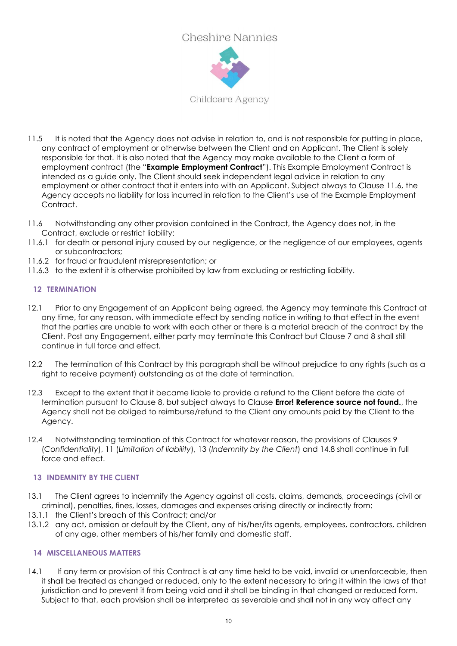

Childcare Agency

- <span id="page-9-0"></span>11.5 It is noted that the Agency does not advise in relation to, and is not responsible for putting in place, any contract of employment or otherwise between the Client and an Applicant. The Client is solely responsible for that. It is also noted that the Agency may make available to the Client a form of employment contract (the "**Example Employment Contract**"). This Example Employment Contract is intended as a guide only. The Client should seek independent legal advice in relation to any employment or other contract that it enters into with an Applicant. Subject always to Clause [11.6,](#page-9-1) the Agency accepts no liability for loss incurred in relation to the Client's use of the Example Employment Contract.
- <span id="page-9-1"></span>11.6 Notwithstanding any other provision contained in the Contract, the Agency does not, in the Contract, exclude or restrict liability:
- 11.6.1 for death or personal injury caused by our negligence, or the negligence of our employees, agents or subcontractors;
- 11.6.2 for fraud or fraudulent misrepresentation; or
- 11.6.3 to the extent it is otherwise prohibited by law from excluding or restricting liability.

#### **12 TERMINATION**

- 12.1 Prior to any Engagement of an Applicant being agreed, the Agency may terminate this Contract at any time, for any reason, with immediate effect by sending notice in writing to that effect in the event that the parties are unable to work with each other or there is a material breach of the contract by the Client. Post any Engagement, either party may terminate this Contract but Clause 7 and 8 shall still continue in full force and effect.
- 12.2 The termination of this Contract by this paragraph shall be without prejudice to any rights (such as a right to receive payment) outstanding as at the date of termination.
- 12.3 Except to the extent that it became liable to provide a refund to the Client before the date of termination pursuant to Clause [8,](#page-5-3) but subject always to Clause **Error! Reference source not found.**, the Agency shall not be obliged to reimburse/refund to the Client any amounts paid by the Client to the Agency.
- 12.4 Notwithstanding termination of this Contract for whatever reason, the provisions of Clauses [9](#page-6-2) (*Confidentiality*), 11 (*Limitation of liability*), [13](#page-9-2) (*Indemnity by the Client*) and [14.8](#page-10-0) shall continue in full force and effect.

#### <span id="page-9-2"></span>**13 INDEMNITY BY THE CLIENT**

- 13.1 The Client agrees to indemnify the Agency against all costs, claims, demands, proceedings (civil or criminal), penalties, fines, losses, damages and expenses arising directly or indirectly from:
- 13.1.1 the Client's breach of this Contract; and/or
- 13.1.2 any act, omission or default by the Client, any of his/her/its agents, employees, contractors, children of any age, other members of his/her family and domestic staff.

#### **14 MISCELLANEOUS MATTERS**

14.1 If any term or provision of this Contract is at any time held to be void, invalid or unenforceable, then it shall be treated as changed or reduced, only to the extent necessary to bring it within the laws of that jurisdiction and to prevent it from being void and it shall be binding in that changed or reduced form. Subject to that, each provision shall be interpreted as severable and shall not in any way affect any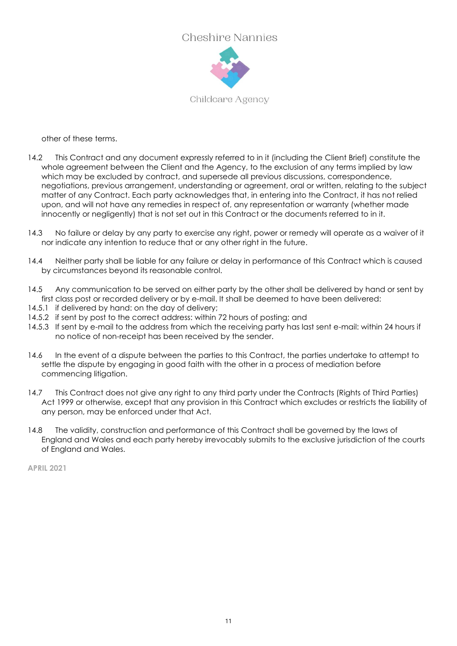

Childcare Agency

other of these terms.

- 14.2 This Contract and any document expressly referred to in it (including the Client Brief) constitute the whole agreement between the Client and the Agency, to the exclusion of any terms implied by law which may be excluded by contract, and supersede all previous discussions, correspondence, negotiations, previous arrangement, understanding or agreement, oral or written, relating to the subject matter of any Contract. Each party acknowledges that, in entering into the Contract, it has not relied upon, and will not have any remedies in respect of, any representation or warranty (whether made innocently or negligently) that is not set out in this Contract or the documents referred to in it.
- 14.3 No failure or delay by any party to exercise any right, power or remedy will operate as a waiver of it nor indicate any intention to reduce that or any other right in the future.
- 14.4 Neither party shall be liable for any failure or delay in performance of this Contract which is caused by circumstances beyond its reasonable control.
- 14.5 Any communication to be served on either party by the other shall be delivered by hand or sent by first class post or recorded delivery or by e-mail. It shall be deemed to have been delivered:
- 14.5.1 if delivered by hand: on the day of delivery:
- 14.5.2 if sent by post to the correct address: within 72 hours of posting; and
- 14.5.3 If sent by e-mail to the address from which the receiving party has last sent e-mail: within 24 hours if no notice of non-receipt has been received by the sender.
- 14.6 In the event of a dispute between the parties to this Contract, the parties undertake to attempt to settle the dispute by engaging in good faith with the other in a process of mediation before commencing litigation.
- 14.7 This Contract does not give any right to any third party under the Contracts (Rights of Third Parties) Act 1999 or otherwise, except that any provision in this Contract which excludes or restricts the liability of any person, may be enforced under that Act.
- <span id="page-10-0"></span>14.8 The validity, construction and performance of this Contract shall be governed by the laws of England and Wales and each party hereby irrevocably submits to the exclusive jurisdiction of the courts of England and Wales.

**APRIL 2021**